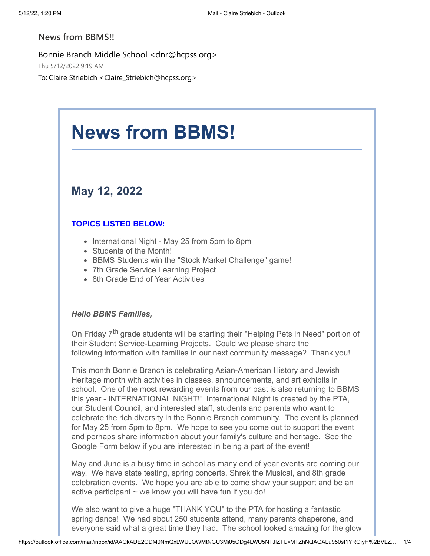### **News from BBMS!!**

Bonnie Branch Middle School <dnr@hcpss.org> Thu 5/12/2022 9:19 AM To: Claire Striebich <Claire\_Striebich@hcpss.org>

# **News from BBMS!**

### **May 12, 2022**

### **TOPICS LISTED BELOW:**

- International Night May 25 from 5pm to 8pm
- Students of the Month!
- BBMS Students win the "Stock Market Challenge" game!
- 7th Grade Service Learning Project
- 8th Grade End of Year Activities

### *Hello BBMS Families,*

On Friday 7<sup>th</sup> grade students will be starting their "Helping Pets in Need" portion of their Student Service-Learning Projects. Could we please share the following information with families in our next community message? Thank you!

This month Bonnie Branch is celebrating Asian-American History and Jewish Heritage month with activities in classes, announcements, and art exhibits in school. One of the most rewarding events from our past is also returning to BBMS this year - INTERNATIONAL NIGHT!! International Night is created by the PTA, our Student Council, and interested staff, students and parents who want to celebrate the rich diversity in the Bonnie Branch community. The event is planned for May 25 from 5pm to 8pm. We hope to see you come out to support the event and perhaps share information about your family's culture and heritage. See the Google Form below if you are interested in being a part of the event!

May and June is a busy time in school as many end of year events are coming our way. We have state testing, spring concerts, Shrek the Musical, and 8th grade celebration events. We hope you are able to come show your support and be an active participant  $\sim$  we know you will have fun if you do!

We also want to give a huge "THANK YOU" to the PTA for hosting a fantastic spring dance! We had about 250 students attend, many parents chaperone, and everyone said what a great time they had. The school looked amazing for the glow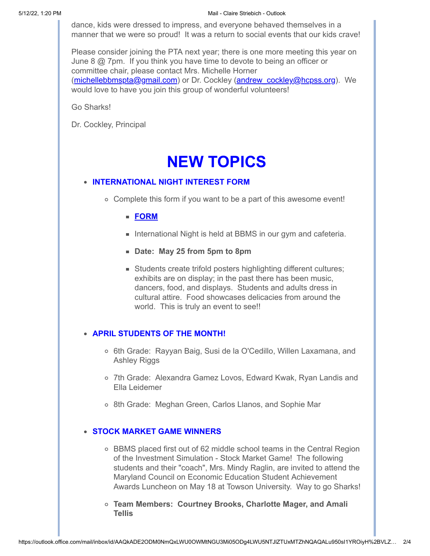#### 5/12/22, 1:20 PM **Mail - Claire Striebich - Outlook** Mail - Claire Striebich - Outlook

dance, kids were dressed to impress, and everyone behaved themselves in a manner that we were so proud! It was a return to social events that our kids crave!

Please consider joining the PTA next year; there is one more meeting this year on June 8 @ 7pm. If you think you have time to devote to being an officer or committee chair, please contact Mrs. Michelle Horner ([michellebbmspta@gmail.com](mailto:michellebbmspta@gmail.com?subject=PTA%20Volunteers)) or Dr. Cockley ([andrew\\_cockley@hcpss.org\)](mailto:andrew_cockley@hcpss.org?subject=PTA%20Volunteers). We would love to have you join this group of wonderful volunteers!

Go Sharks!

Dr. Cockley, Principal

## **NEW TOPICS**

### **INTERNATIONAL NIGHT INTEREST FORM**

- Complete this form if you want to be a part of this awesome event!
	- **[FORM](https://nam10.safelinks.protection.outlook.com/?url=http%3A%2F%2Ftrack.spe.schoolmessenger.com%2Ff%2Fa%2FR_Or9qFph_H8xqUIIMuwTA~~%2FAAAAAQA~%2FRgRkXjz6P0RjaHR0cHM6Ly9kb2NzLmdvb2dsZS5jb20vZm9ybXMvZC9lLzFGQUlwUUxTYzE5XzFlS3V1U3NZUjJya3lBYlJ2TVJUUmVaRDVxbjJlV3FLOHhfOEItSHJ3Tjl3L3ZpZXdmb3JtVwdzY2hvb2xtQgpie3oJfWJURREeUhpjbGFpcmVfc3RyaWViaWNoQGhjcHNzLm9yZ1gEAAAAAQ~~&data=05%7C01%7Cclaire_striebich%40hcpss.org%7C890f1131d44245e2da5108da341a1ac4%7C96a9ac4c477e4dada2b28ad3fc46790b%7C1%7C0%7C637879583994937784%7CUnknown%7CTWFpbGZsb3d8eyJWIjoiMC4wLjAwMDAiLCJQIjoiV2luMzIiLCJBTiI6Ik1haWwiLCJXVCI6Mn0%3D%7C3000%7C%7C%7C&sdata=75LR0ub%2FEqVqT7RMZML%2Bn5bGvaVricCNwF0vzWoiQlk%3D&reserved=0)**
	- International Night is held at BBMS in our gym and cafeteria.
	- **Date: May 25 from 5pm to 8pm**
	- Students create trifold posters highlighting different cultures; exhibits are on display; in the past there has been music, dancers, food, and displays. Students and adults dress in cultural attire. Food showcases delicacies from around the world. This is truly an event to see!!

### **APRIL STUDENTS OF THE MONTH!**

- o 6th Grade: Rayyan Baig, Susi de la O'Cedillo, Willen Laxamana, and Ashley Riggs
- 7th Grade: Alexandra Gamez Lovos, Edward Kwak, Ryan Landis and Ella Leidemer
- o 8th Grade: Meghan Green, Carlos Llanos, and Sophie Mar

### **STOCK MARKET GAME WINNERS**

- BBMS placed first out of 62 middle school teams in the Central Region of the Investment Simulation - Stock Market Game! The following students and their "coach", Mrs. Mindy Raglin, are invited to attend the Maryland Council on Economic Education Student Achievement Awards Luncheon on May 18 at Towson University. Way to go Sharks!
- **Team Members: Courtney Brooks, Charlotte Mager, and Amali Tellis**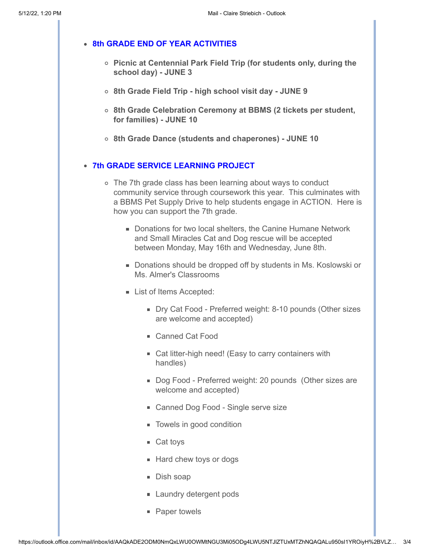### **8th GRADE END OF YEAR ACTIVITIES**

- **Picnic at Centennial Park Field Trip (for students only, during the school day) - JUNE 3**
- **8th Grade Field Trip high school visit day JUNE 9**
- **8th Grade Celebration Ceremony at BBMS (2 tickets per student, for families) - JUNE 10**
- **8th Grade Dance (students and chaperones) JUNE 10**

### **7th GRADE SERVICE LEARNING PROJECT**

- The 7th grade class has been learning about ways to conduct community service through coursework this year. This culminates with a BBMS Pet Supply Drive to help students engage in ACTION. Here is how you can support the 7th grade.
	- Donations for two local shelters, the Canine Humane Network and Small Miracles Cat and Dog rescue will be accepted between Monday, May 16th and Wednesday, June 8th.
	- Donations should be dropped off by students in Ms. Koslowski or Ms. Almer's Classrooms
	- **List of Items Accepted:** 
		- Dry Cat Food Preferred weight: 8-10 pounds (Other sizes are welcome and accepted)
		- Canned Cat Food
		- Cat litter-high need! (Easy to carry containers with handles)
		- Dog Food Preferred weight: 20 pounds (Other sizes are welcome and accepted)
		- Canned Dog Food Single serve size
		- **Towels in good condition**
		- $\blacksquare$  Cat toys
		- **Hard chew toys or dogs**
		- Dish soap
		- **Laundry detergent pods**
		- Paper towels